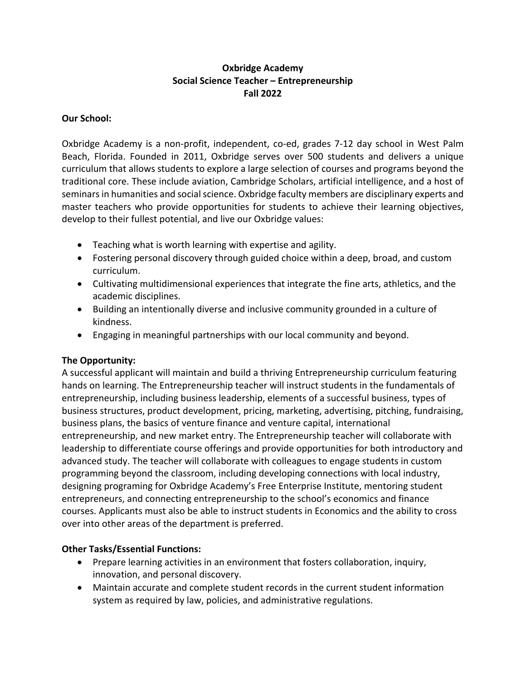# **Oxbridge Academy Social Science Teacher – Entrepreneurship Fall 2022**

### **Our School:**

Oxbridge Academy is a non-profit, independent, co-ed, grades 7-12 day school in West Palm Beach, Florida. Founded in 2011, Oxbridge serves over 500 students and delivers a unique curriculum that allows students to explore a large selection of courses and programs beyond the traditional core. These include aviation, Cambridge Scholars, artificial intelligence, and a host of seminars in humanities and social science. Oxbridge faculty members are disciplinary experts and master teachers who provide opportunities for students to achieve their learning objectives, develop to their fullest potential, and live our Oxbridge values:

- Teaching what is worth learning with expertise and agility.
- Fostering personal discovery through guided choice within a deep, broad, and custom curriculum.
- Cultivating multidimensional experiences that integrate the fine arts, athletics, and the academic disciplines.
- Building an intentionally diverse and inclusive community grounded in a culture of kindness.
- Engaging in meaningful partnerships with our local community and beyond.

## **The Opportunity:**

A successful applicant will maintain and build a thriving Entrepreneurship curriculum featuring hands on learning. The Entrepreneurship teacher will instruct students in the fundamentals of entrepreneurship, including business leadership, elements of a successful business, types of business structures, product development, pricing, marketing, advertising, pitching, fundraising, business plans, the basics of venture finance and venture capital, international entrepreneurship, and new market entry. The Entrepreneurship teacher will collaborate with leadership to differentiate course offerings and provide opportunities for both introductory and advanced study. The teacher will collaborate with colleagues to engage students in custom programming beyond the classroom, including developing connections with local industry, designing programing for Oxbridge Academy's Free Enterprise Institute, mentoring student entrepreneurs, and connecting entrepreneurship to the school's economics and finance courses. Applicants must also be able to instruct students in Economics and the ability to cross over into other areas of the department is preferred.

## **Other Tasks/Essential Functions:**

- Prepare learning activities in an environment that fosters collaboration, inquiry, innovation, and personal discovery.
- Maintain accurate and complete student records in the current student information system as required by law, policies, and administrative regulations.